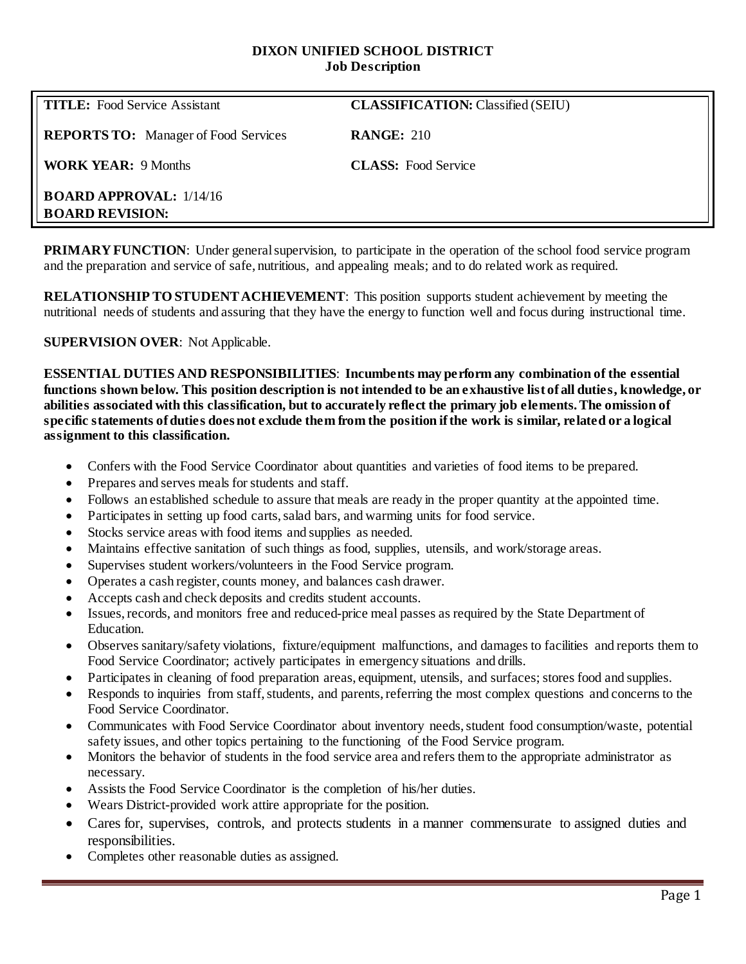### **DIXON UNIFIED SCHOOL DISTRICT Job Description**

| <b>TITLE:</b> Food Service Assistant                     | <b>CLASSIFICATION:</b> Classified (SEIU) |
|----------------------------------------------------------|------------------------------------------|
| <b>REPORTS TO:</b> Manager of Food Services              | <b>RANGE: 210</b>                        |
| <b>WORK YEAR: 9 Months</b>                               | <b>CLASS:</b> Food Service               |
| <b>BOARD APPROVAL:</b> 1/14/16<br><b>BOARD REVISION:</b> |                                          |

**PRIMARY FUNCTION:** Under general supervision, to participate in the operation of the school food service program and the preparation and service of safe, nutritious, and appealing meals; and to do related work as required.

**RELATIONSHIP TO STUDENT ACHIEVEMENT**: This position supports student achievement by meeting the nutritional needs of students and assuring that they have the energy to function well and focus during instructional time.

## **SUPERVISION OVER**: Not Applicable.

**ESSENTIAL DUTIES AND RESPONSIBILITIES**: **Incumbents may perform any combination of the essential functions shown below. This position description is not intended to be an exhaustive list of all duties, knowledge, or abilities associated with this classification, but to accurately reflect the primary job elements. The omission of specific statements of duties does not exclude them from the position if the work is similar, related or a logical assignment to this classification.**

- Confers with the Food Service Coordinator about quantities and varieties of food items to be prepared.
- Prepares and serves meals for students and staff.
- Follows an established schedule to assure that meals are ready in the proper quantity at the appointed time.
- Participates in setting up food carts, salad bars, and warming units for food service.
- Stocks service areas with food items and supplies as needed.
- Maintains effective sanitation of such things as food, supplies, utensils, and work/storage areas.
- Supervises student workers/volunteers in the Food Service program.
- Operates a cash register, counts money, and balances cash drawer.
- Accepts cash and check deposits and credits student accounts.
- Issues, records, and monitors free and reduced-price meal passes as required by the State Department of Education.
- Observes sanitary/safety violations, fixture/equipment malfunctions, and damages to facilities and reports them to Food Service Coordinator; actively participates in emergency situations and drills.
- Participates in cleaning of food preparation areas, equipment, utensils, and surfaces; stores food and supplies.
- Responds to inquiries from staff, students, and parents, referring the most complex questions and concerns to the Food Service Coordinator.
- Communicates with Food Service Coordinator about inventory needs, student food consumption/waste, potential safety issues, and other topics pertaining to the functioning of the Food Service program.
- Monitors the behavior of students in the food service area and refers them to the appropriate administrator as necessary.
- Assists the Food Service Coordinator is the completion of his/her duties.
- Wears District-provided work attire appropriate for the position.
- Cares for, supervises, controls, and protects students in a manner commensurate to assigned duties and responsibilities.
- Completes other reasonable duties as assigned.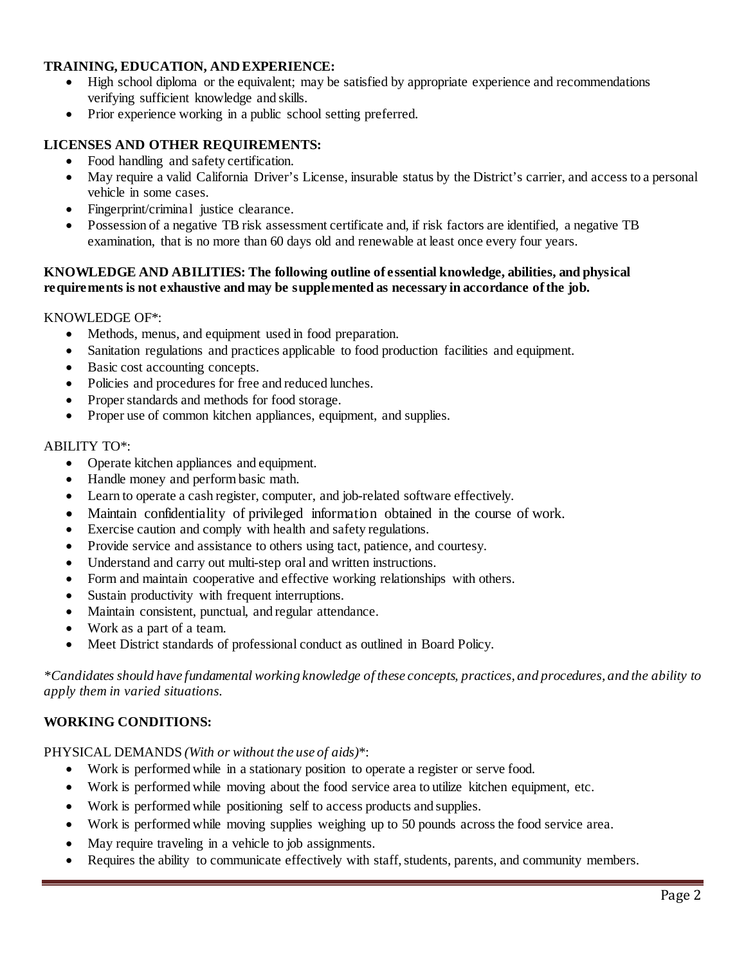# **TRAINING, EDUCATION, AND EXPERIENCE:**

- High school diploma or the equivalent; may be satisfied by appropriate experience and recommendations verifying sufficient knowledge and skills.
- Prior experience working in a public school setting preferred.

# **LICENSES AND OTHER REQUIREMENTS:**

- Food handling and safety certification.
- May require a valid California Driver's License, insurable status by the District's carrier, and access to a personal vehicle in some cases.
- Fingerprint/criminal justice clearance.
- Possession of a negative TB risk assessment certificate and, if risk factors are identified, a negative TB examination, that is no more than 60 days old and renewable at least once every four years.

### **KNOWLEDGE AND ABILITIES: The following outline of essential knowledge, abilities, and physical requirements is not exhaustive and may be supplemented as necessary in accordance of the job.**

#### KNOWLEDGE OF\*:

- Methods, menus, and equipment used in food preparation.
- Sanitation regulations and practices applicable to food production facilities and equipment.
- Basic cost accounting concepts.
- Policies and procedures for free and reduced lunches.
- Proper standards and methods for food storage.
- Proper use of common kitchen appliances, equipment, and supplies.

#### ABILITY TO\*:

- Operate kitchen appliances and equipment.
- Handle money and perform basic math.
- Learn to operate a cash register, computer, and job-related software effectively.
- Maintain confidentiality of privileged information obtained in the course of work.
- Exercise caution and comply with health and safety regulations.
- Provide service and assistance to others using tact, patience, and courtesy.
- Understand and carry out multi-step oral and written instructions.
- Form and maintain cooperative and effective working relationships with others.
- Sustain productivity with frequent interruptions.
- Maintain consistent, punctual, and regular attendance.
- Work as a part of a team.
- Meet District standards of professional conduct as outlined in Board Policy.

*\*Candidates should have fundamental working knowledge of these concepts, practices, and procedures, and the ability to apply them in varied situations.*

### **WORKING CONDITIONS:**

PHYSICAL DEMANDS *(With or without the use of aids)*\*:

- Work is performed while in a stationary position to operate a register or serve food.
- Work is performed while moving about the food service area to utilize kitchen equipment, etc.
- Work is performed while positioning self to access products and supplies.
- Work is performed while moving supplies weighing up to 50 pounds across the food service area.
- May require traveling in a vehicle to job assignments.
- Requires the ability to communicate effectively with staff, students, parents, and community members.